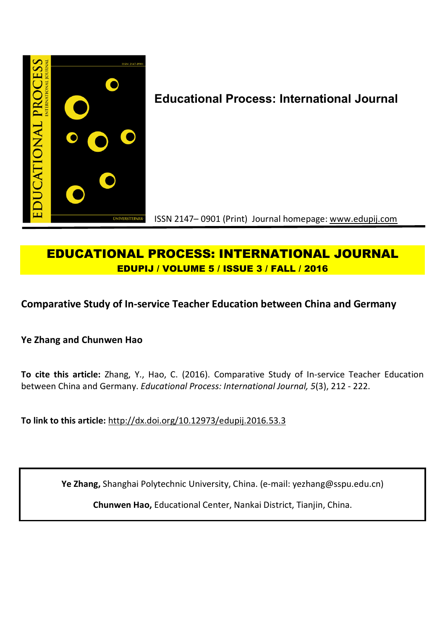

# **Educational Process: International Journal**

ISSN 2147– 0901 (Print) Journal homepage: www.edupij.com

## **EDUCATIONAL PROCESS: INTERNATIONAL JOURNAL EDUPIJ / VOLUME 5 / ISSUE 3 / FALL / 2016**

## **Comparative Study of In-service Teacher Education between China and Germany**

**Ye Zhang and Chunwen Hao**

**To cite this article:** Zhang, Y., Hao, C. (2016). Comparative Study of In-service Teacher Education between China and Germany. *Educational Process: International Journal, 5*(3), 212 - 222.

**To link to this article:** http://dx.doi.org/10.12973/edupij.2016.53.3

**Ye Zhang,** Shanghai Polytechnic University, China. (e-mail: yezhang@sspu.edu.cn)

**Chunwen Hao,** Educational Center, Nankai District, Tianjin, China.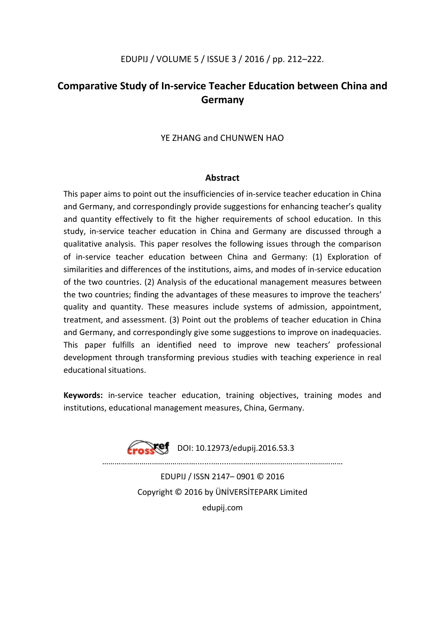## EDUPIJ / VOLUME 5 / ISSUE 3 / 2016 / pp. 212–222.

## **Comparative Study of In-service Teacher Education between China and Germany**

## YE ZHANG and CHUNWEN HAO

#### **Abstract**

This paper aims to point out the insufficiencies of in-service teacher education in China and Germany, and correspondingly provide suggestions for enhancing teacher's quality and quantity effectively to fit the higher requirements of school education. In this study, in-service teacher education in China and Germany are discussed through a qualitative analysis. This paper resolves the following issues through the comparison of in-service teacher education between China and Germany: (1) Exploration of similarities and differences of the institutions, aims, and modes of in-service education of the two countries. (2) Analysis of the educational management measures between the two countries; finding the advantages of these measures to improve the teachers' quality and quantity. These measures include systems of admission, appointment, treatment, and assessment. (3) Point out the problems of teacher education in China and Germany, and correspondingly give some suggestions to improve on inadequacies. This paper fulfills an identified need to improve new teachers' professional development through transforming previous studies with teaching experience in real educational situations.

**Keywords:** in-service teacher education, training objectives, training modes and institutions, educational management measures, China, Germany.

**Fracket** DOI: 10.12973/edupij.2016.53.3

………………………………………........….....………………………………...……………

EDUPIJ / ISSN 2147– 0901 © 2016 Copyright © 2016 by ÜNİVERSİTEPARK Limited edupij.com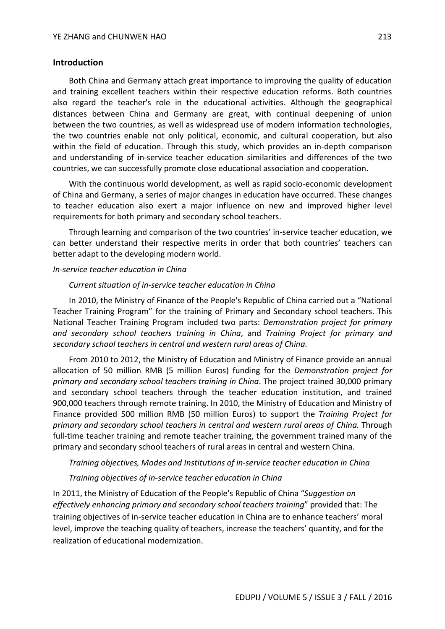## **Introduction**

Both China and Germany attach great importance to improving the quality of education and training excellent teachers within their respective education reforms. Both countries also regard the teacher's role in the educational activities. Although the geographical distances between China and Germany are great, with continual deepening of union between the two countries, as well as widespread use of modern information technologies, the two countries enable not only political, economic, and cultural cooperation, but also within the field of education. Through this study, which provides an in-depth comparison and understanding of in-service teacher education similarities and differences of the two countries, we can successfully promote close educational association and cooperation.

With the continuous world development, as well as rapid socio-economic development of China and Germany, a series of major changes in education have occurred. These changes to teacher education also exert a major influence on new and improved higher level requirements for both primary and secondary school teachers.

Through learning and comparison of the two countries' in-service teacher education, we can better understand their respective merits in order that both countries' teachers can better adapt to the developing modern world.

#### *In-service teacher education in China*

#### *Current situation of in-service teacher education in China*

In 2010, the Ministry of Finance of the People's Republic of China carried out a "National Teacher Training Program" for the training of Primary and Secondary school teachers. This National Teacher Training Program included two parts: *Demonstration project for primary and secondary school teachers training in China*, and *Training Project for primary and secondary school teachers in central and western rural areas of China*.

From 2010 to 2012, the Ministry of Education and Ministry of Finance provide an annual allocation of 50 million RMB (5 million Euros) funding for the *Demonstration project for primary and secondary school teachers training in China*. The project trained 30,000 primary and secondary school teachers through the teacher education institution, and trained 900,000 teachers through remote training. In 2010, the Ministry of Education and Ministry of Finance provided 500 million RMB (50 million Euros) to support the *Training Project for primary and secondary school teachers in central and western rural areas of China.* Through full-time teacher training and remote teacher training, the government trained many of the primary and secondary school teachers of rural areas in central and western China.

#### *Training objectives, Modes and Institutions of in-service teacher education in China*

## *Training objectives of in-service teacher education in China*

In 2011, the Ministry of Education of the People's Republic of China "*Suggestion on effectively enhancing primary and secondary school teachers training*" provided that: The training objectives of in-service teacher education in China are to enhance teachers' moral level, improve the teaching quality of teachers, increase the teachers' quantity, and for the realization of educational modernization.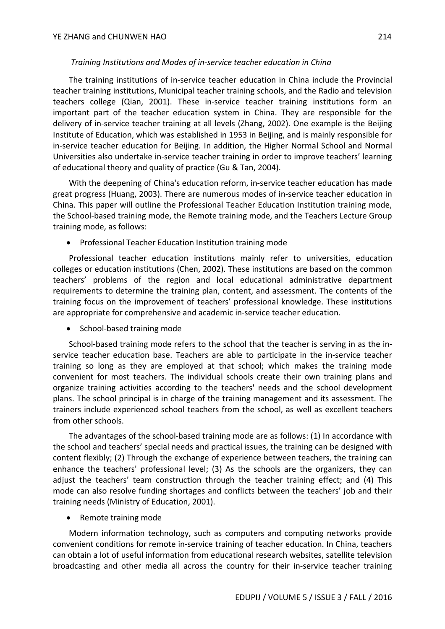## *Training Institutions and Modes of in-service teacher education in China*

The training institutions of in-service teacher education in China include the Provincial teacher training institutions, Municipal teacher training schools, and the Radio and television teachers college (Qian, 2001). These in-service teacher training institutions form an important part of the teacher education system in China. They are responsible for the delivery of in-service teacher training at all levels (Zhang, 2002). One example is the Beijing Institute of Education, which was established in 1953 in Beijing, and is mainly responsible for in-service teacher education for Beijing. In addition, the Higher Normal School and Normal Universities also undertake in-service teacher training in order to improve teachers' learning of educational theory and quality of practice (Gu & Tan, 2004).

With the deepening of China's education reform, in-service teacher education has made great progress (Huang, 2003). There are numerous modes of in-service teacher education in China. This paper will outline the Professional Teacher Education Institution training mode, the School-based training mode, the Remote training mode, and the Teachers Lecture Group training mode, as follows:

Professional Teacher Education Institution training mode

Professional teacher education institutions mainly refer to universities, education colleges or education institutions (Chen, 2002). These institutions are based on the common teachers' problems of the region and local educational administrative department requirements to determine the training plan, content, and assessment. The contents of the training focus on the improvement of teachers' professional knowledge. These institutions are appropriate for comprehensive and academic in-service teacher education.

• School-based training mode

School-based training mode refers to the school that the teacher is serving in as the inservice teacher education base. Teachers are able to participate in the in-service teacher training so long as they are employed at that school; which makes the training mode convenient for most teachers. The individual schools create their own training plans and organize training activities according to the teachers' needs and the school development plans. The school principal is in charge of the training management and its assessment. The trainers include experienced school teachers from the school, as well as excellent teachers from other schools.

The advantages of the school-based training mode are as follows: (1) In accordance with the school and teachers' special needs and practical issues, the training can be designed with content flexibly; (2) Through the exchange of experience between teachers, the training can enhance the teachers' professional level; (3) As the schools are the organizers, they can adjust the teachers' team construction through the teacher training effect; and (4) This mode can also resolve funding shortages and conflicts between the teachers' job and their training needs (Ministry of Education, 2001).

Remote training mode

Modern information technology, such as computers and computing networks provide convenient conditions for remote in-service training of teacher education. In China, teachers can obtain a lot of useful information from educational research websites, satellite television broadcasting and other media all across the country for their in-service teacher training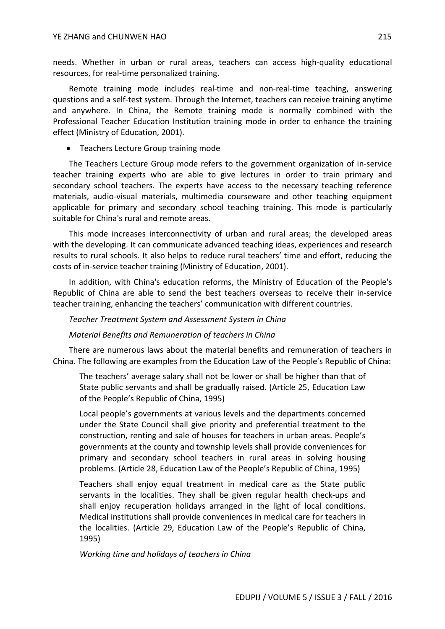needs. Whether in urban or rural areas, teachers can access high-quality educational resources, for real-time personalized training.

Remote training mode includes real-time and non-real-time teaching, answering questions and a self-test system. Through the Internet, teachers can receive training anytime and anywhere. In China, the Remote training mode is normally combined with the Professional Teacher Education Institution training mode in order to enhance the training effect (Ministry of Education, 2001).

## • Teachers Lecture Group training mode

The Teachers Lecture Group mode refers to the government organization of in-service teacher training experts who are able to give lectures in order to train primary and secondary school teachers. The experts have access to the necessary teaching reference materials, audio-visual materials, multimedia courseware and other teaching equipment applicable for primary and secondary school teaching training. This mode is particularly suitable for China's rural and remote areas.

This mode increases interconnectivity of urban and rural areas; the developed areas with the developing. It can communicate advanced teaching ideas, experiences and research results to rural schools. It also helps to reduce rural teachers' time and effort, reducing the costs of in-service teacher training (Ministry of Education, 2001).

In addition, with China's education reforms, the Ministry of Education of the People's Republic of China are able to send the best teachers overseas to receive their in-service teacher training, enhancing the teachers' communication with different countries.

## *Teacher Treatment System and Assessment System in China*

## *Material Benefits and Remuneration of teachers in China*

There are numerous laws about the material benefits and remuneration of teachers in China. The following are examples from the Education Law of the People's Republic of China:

The teachers' average salary shall not be lower or shall be higher than that of State public servants and shall be gradually raised. (Article 25, Education Law of the People's Republic of China, 1995)

Local people's governments at various levels and the departments concerned under the State Council shall give priority and preferential treatment to the construction, renting and sale of houses for teachers in urban areas. People's governments at the county and township levels shall provide conveniences for primary and secondary school teachers in rural areas in solving housing problems. (Article 28, Education Law of the People's Republic of China, 1995)

Teachers shall enjoy equal treatment in medical care as the State public servants in the localities. They shall be given regular health check-ups and shall enjoy recuperation holidays arranged in the light of local conditions. Medical institutions shall provide conveniences in medical care for teachers in the localities. (Article 29, Education Law of the People's Republic of China, 1995)

*Working time and holidays of teachers in China*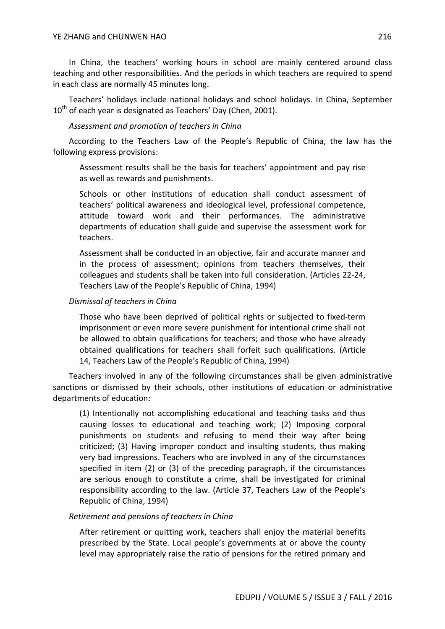In China, the teachers' working hours in school are mainly centered around class teaching and other responsibilities. And the periods in which teachers are required to spend in each class are normally 45 minutes long.

Teachers' holidays include national holidays and school holidays. In China, September  $10<sup>th</sup>$  of each year is designated as Teachers' Day (Chen, 2001).

## *Assessment and promotion of teachers in China*

According to the Teachers Law of the People's Republic of China, the law has the following express provisions:

Assessment results shall be the basis for teachers' appointment and pay rise as well as rewards and punishments.

Schools or other institutions of education shall conduct assessment of teachers' political awareness and ideological level, professional competence, attitude toward work and their performances. The administrative departments of education shall guide and supervise the assessment work for teachers.

Assessment shall be conducted in an objective, fair and accurate manner and in the process of assessment; opinions from teachers themselves, their colleagues and students shall be taken into full consideration. (Articles 22-24, Teachers Law of the People's Republic of China, 1994)

## *Dismissal of teachers in China*

Those who have been deprived of political rights or subjected to fixed-term imprisonment or even more severe punishment for intentional crime shall not be allowed to obtain qualifications for teachers; and those who have already obtained qualifications for teachers shall forfeit such qualifications. (Article 14, Teachers Law of the People's Republic of China, 1994)

Teachers involved in any of the following circumstances shall be given administrative sanctions or dismissed by their schools, other institutions of education or administrative departments of education:

(1) Intentionally not accomplishing educational and teaching tasks and thus causing losses to educational and teaching work; (2) Imposing corporal punishments on students and refusing to mend their way after being criticized; (3) Having improper conduct and insulting students, thus making very bad impressions. Teachers who are involved in any of the circumstances specified in item (2) or (3) of the preceding paragraph, if the circumstances are serious enough to constitute a crime, shall be investigated for criminal responsibility according to the law. (Article 37, Teachers Law of the People's Republic of China, 1994)

## *Retirement and pensions of teachers in China*

After retirement or quitting work, teachers shall enjoy the material benefits prescribed by the State. Local people's governments at or above the county level may appropriately raise the ratio of pensions for the retired primary and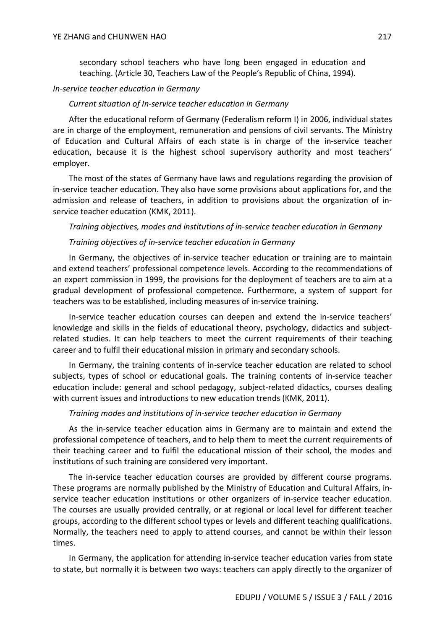secondary school teachers who have long been engaged in education and teaching. (Article 30, Teachers Law of the People's Republic of China, 1994).

#### *In-service teacher education in Germany*

#### *Current situation of In-service teacher education in Germany*

After the educational reform of Germany (Federalism reform I) in 2006, individual states are in charge of the employment, remuneration and pensions of civil servants. The Ministry of Education and Cultural Affairs of each state is in charge of the in-service teacher education, because it is the highest school supervisory authority and most teachers' employer.

The most of the states of Germany have laws and regulations regarding the provision of in-service teacher education. They also have some provisions about applications for, and the admission and release of teachers, in addition to provisions about the organization of inservice teacher education (KMK, 2011).

#### *Training objectives, modes and institutions of in-service teacher education in Germany*

#### *Training objectives of in-service teacher education in Germany*

In Germany, the objectives of in-service teacher education or training are to maintain and extend teachers' professional competence levels. According to the recommendations of an expert commission in 1999, the provisions for the deployment of teachers are to aim at a gradual development of professional competence. Furthermore, a system of support for teachers was to be established, including measures of in-service training.

In-service teacher education courses can deepen and extend the in-service teachers' knowledge and skills in the fields of educational theory, psychology, didactics and subjectrelated studies. It can help teachers to meet the current requirements of their teaching career and to fulfil their educational mission in primary and secondary schools.

In Germany, the training contents of in-service teacher education are related to school subjects, types of school or educational goals. The training contents of in-service teacher education include: general and school pedagogy, subject-related didactics, courses dealing with current issues and introductions to new education trends (KMK, 2011).

#### *Training modes and institutions of in-service teacher education in Germany*

As the in-service teacher education aims in Germany are to maintain and extend the professional competence of teachers, and to help them to meet the current requirements of their teaching career and to fulfil the educational mission of their school, the modes and institutions of such training are considered very important.

The in-service teacher education courses are provided by different course programs. These programs are normally published by the Ministry of Education and Cultural Affairs, inservice teacher education institutions or other organizers of in-service teacher education. The courses are usually provided centrally, or at regional or local level for different teacher groups, according to the different school types or levels and different teaching qualifications. Normally, the teachers need to apply to attend courses, and cannot be within their lesson times.

In Germany, the application for attending in-service teacher education varies from state to state, but normally it is between two ways: teachers can apply directly to the organizer of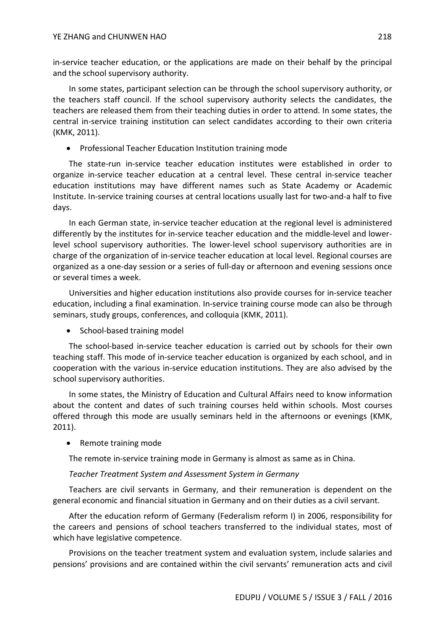in-service teacher education, or the applications are made on their behalf by the principal and the school supervisory authority.

In some states, participant selection can be through the school supervisory authority, or the teachers staff council. If the school supervisory authority selects the candidates, the teachers are released them from their teaching duties in order to attend. In some states, the central in-service training institution can select candidates according to their own criteria (KMK, 2011).

• Professional Teacher Education Institution training mode

The state-run in-service teacher education institutes were established in order to organize in-service teacher education at a central level. These central in-service teacher education institutions may have different names such as State Academy or Academic Institute. In-service training courses at central locations usually last for two-and-a half to five days.

In each German state, in-service teacher education at the regional level is administered differently by the institutes for in-service teacher education and the middle-level and lowerlevel school supervisory authorities. The lower-level school supervisory authorities are in charge of the organization of in-service teacher education at local level. Regional courses are organized as a one-day session or a series of full-day or afternoon and evening sessions once or several times a week.

Universities and higher education institutions also provide courses for in-service teacher education, including a final examination. In-service training course mode can also be through seminars, study groups, conferences, and colloquia (KMK, 2011).

• School-based training model

The school-based in-service teacher education is carried out by schools for their own teaching staff. This mode of in-service teacher education is organized by each school, and in cooperation with the various in-service education institutions. They are also advised by the school supervisory authorities.

In some states, the Ministry of Education and Cultural Affairs need to know information about the content and dates of such training courses held within schools. Most courses offered through this mode are usually seminars held in the afternoons or evenings (KMK, 2011).

• Remote training mode

The remote in-service training mode in Germany is almost as same as in China.

## *Teacher Treatment System and Assessment System in Germany*

Teachers are civil servants in Germany, and their remuneration is dependent on the general economic and financial situation in Germany and on their duties as a civil servant.

After the education reform of Germany (Federalism reform I) in 2006, responsibility for the careers and pensions of school teachers transferred to the individual states, most of which have legislative competence.

Provisions on the teacher treatment system and evaluation system, include salaries and pensions' provisions and are contained within the civil servants' remuneration acts and civil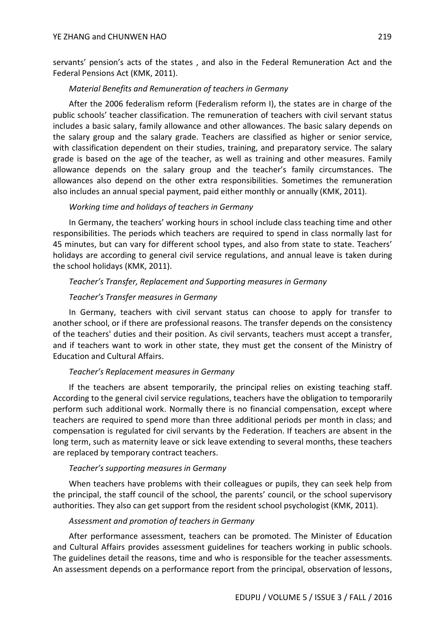servants' pension's acts of the states , and also in the Federal Remuneration Act and the Federal Pensions Act (KMK, 2011).

### *Material Benefits and Remuneration of teachers in Germany*

After the 2006 federalism reform (Federalism reform I), the states are in charge of the public schools' teacher classification. The remuneration of teachers with civil servant status includes a basic salary, family allowance and other allowances. The basic salary depends on the salary group and the salary grade. Teachers are classified as higher or senior service, with classification dependent on their studies, training, and preparatory service. The salary grade is based on the age of the teacher, as well as training and other measures. Family allowance depends on the salary group and the teacher's family circumstances. The allowances also depend on the other extra responsibilities. Sometimes the remuneration also includes an annual special payment, paid either monthly or annually (KMK, 2011).

## *Working time and holidays of teachers in Germany*

In Germany, the teachers' working hours in school include class teaching time and other responsibilities. The periods which teachers are required to spend in class normally last for 45 minutes, but can vary for different school types, and also from state to state. Teachers' holidays are according to general civil service regulations, and annual leave is taken during the school holidays (KMK, 2011).

## *Teacher's Transfer, Replacement and Supporting measures in Germany*

## *Teacher's Transfer measures in Germany*

In Germany, teachers with civil servant status can choose to apply for transfer to another school, or if there are professional reasons. The transfer depends on the consistency of the teachers' duties and their position. As civil servants, teachers must accept a transfer, and if teachers want to work in other state, they must get the consent of the Ministry of Education and Cultural Affairs.

#### *Teacher's Replacement measures in Germany*

If the teachers are absent temporarily, the principal relies on existing teaching staff. According to the general civil service regulations, teachers have the obligation to temporarily perform such additional work. Normally there is no financial compensation, except where teachers are required to spend more than three additional periods per month in class; and compensation is regulated for civil servants by the Federation. If teachers are absent in the long term, such as maternity leave or sick leave extending to several months, these teachers are replaced by temporary contract teachers.

#### *Teacher's supporting measures in Germany*

When teachers have problems with their colleagues or pupils, they can seek help from the principal, the staff council of the school, the parents' council, or the school supervisory authorities. They also can get support from the resident school psychologist (KMK, 2011).

#### *Assessment and promotion of teachers in Germany*

After performance assessment, teachers can be promoted. The Minister of Education and Cultural Affairs provides assessment guidelines for teachers working in public schools. The guidelines detail the reasons, time and who is responsible for the teacher assessments. An assessment depends on a performance report from the principal, observation of lessons,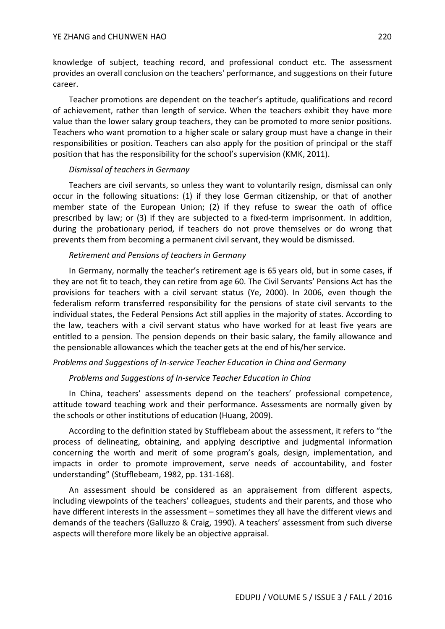knowledge of subject, teaching record, and professional conduct etc. The assessment provides an overall conclusion on the teachers' performance, and suggestions on their future career.

Teacher promotions are dependent on the teacher's aptitude, qualifications and record of achievement, rather than length of service. When the teachers exhibit they have more value than the lower salary group teachers, they can be promoted to more senior positions. Teachers who want promotion to a higher scale or salary group must have a change in their responsibilities or position. Teachers can also apply for the position of principal or the staff position that has the responsibility for the school's supervision (KMK, 2011).

#### *Dismissal of teachers in Germany*

Teachers are civil servants, so unless they want to voluntarily resign, dismissal can only occur in the following situations: (1) if they lose German citizenship, or that of another member state of the European Union; (2) if they refuse to swear the oath of office prescribed by law; or (3) if they are subjected to a fixed-term imprisonment. In addition, during the probationary period, if teachers do not prove themselves or do wrong that prevents them from becoming a permanent civil servant, they would be dismissed.

#### *Retirement and Pensions of teachers in Germany*

In Germany, normally the teacher's retirement age is 65 years old, but in some cases, if they are not fit to teach, they can retire from age 60. The Civil Servants' Pensions Act has the provisions for teachers with a civil servant status (Ye, 2000). In 2006, even though the federalism reform transferred responsibility for the pensions of state civil servants to the individual states, the Federal Pensions Act still applies in the majority of states. According to the law, teachers with a civil servant status who have worked for at least five years are entitled to a pension. The pension depends on their basic salary, the family allowance and the pensionable allowances which the teacher gets at the end of his/her service.

## *Problems and Suggestions of In-service Teacher Education in China and Germany*

#### *Problems and Suggestions of In-service Teacher Education in China*

In China, teachers' assessments depend on the teachers' professional competence, attitude toward teaching work and their performance. Assessments are normally given by the schools or other institutions of education (Huang, 2009).

According to the definition stated by Stufflebeam about the assessment, it refers to "the process of delineating, obtaining, and applying descriptive and judgmental information concerning the worth and merit of some program's goals, design, implementation, and impacts in order to promote improvement, serve needs of accountability, and foster understanding" (Stufflebeam, 1982, pp. 131-168).

An assessment should be considered as an appraisement from different aspects, including viewpoints of the teachers' colleagues, students and their parents, and those who have different interests in the assessment – sometimes they all have the different views and demands of the teachers (Galluzzo & Craig, 1990). A teachers' assessment from such diverse aspects will therefore more likely be an objective appraisal.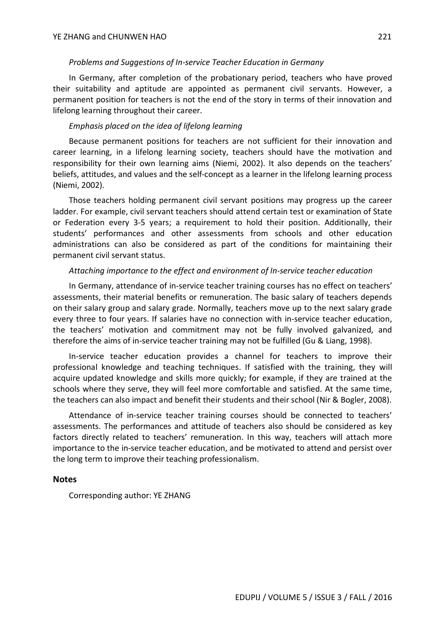#### *Problems and Suggestions of In-service Teacher Education in Germany*

In Germany, after completion of the probationary period, teachers who have proved their suitability and aptitude are appointed as permanent civil servants. However, a permanent position for teachers is not the end of the story in terms of their innovation and lifelong learning throughout their career.

## *Emphasis placed on the idea of lifelong learning*

Because permanent positions for teachers are not sufficient for their innovation and career learning, in a lifelong learning society, teachers should have the motivation and responsibility for their own learning aims (Niemi, 2002). It also depends on the teachers' beliefs, attitudes, and values and the self-concept as a learner in the lifelong learning process (Niemi, 2002).

Those teachers holding permanent civil servant positions may progress up the career ladder. For example, civil servant teachers should attend certain test or examination of State or Federation every 3-5 years; a requirement to hold their position. Additionally, their students' performances and other assessments from schools and other education administrations can also be considered as part of the conditions for maintaining their permanent civil servant status.

#### *Attaching importance to the effect and environment of In-service teacher education*

In Germany, attendance of in-service teacher training courses has no effect on teachers' assessments, their material benefits or remuneration. The basic salary of teachers depends on their salary group and salary grade. Normally, teachers move up to the next salary grade every three to four years. If salaries have no connection with in-service teacher education, the teachers' motivation and commitment may not be fully involved galvanized, and therefore the aims of in-service teacher training may not be fulfilled (Gu & Liang, 1998).

In-service teacher education provides a channel for teachers to improve their professional knowledge and teaching techniques. If satisfied with the training, they will acquire updated knowledge and skills more quickly; for example, if they are trained at the schools where they serve, they will feel more comfortable and satisfied. At the same time, the teachers can also impact and benefit their students and their school (Nir & Bogler, 2008).

Attendance of in-service teacher training courses should be connected to teachers' assessments. The performances and attitude of teachers also should be considered as key factors directly related to teachers' remuneration. In this way, teachers will attach more importance to the in-service teacher education, and be motivated to attend and persist over the long term to improve their teaching professionalism.

### **Notes**

Corresponding author: YE ZHANG